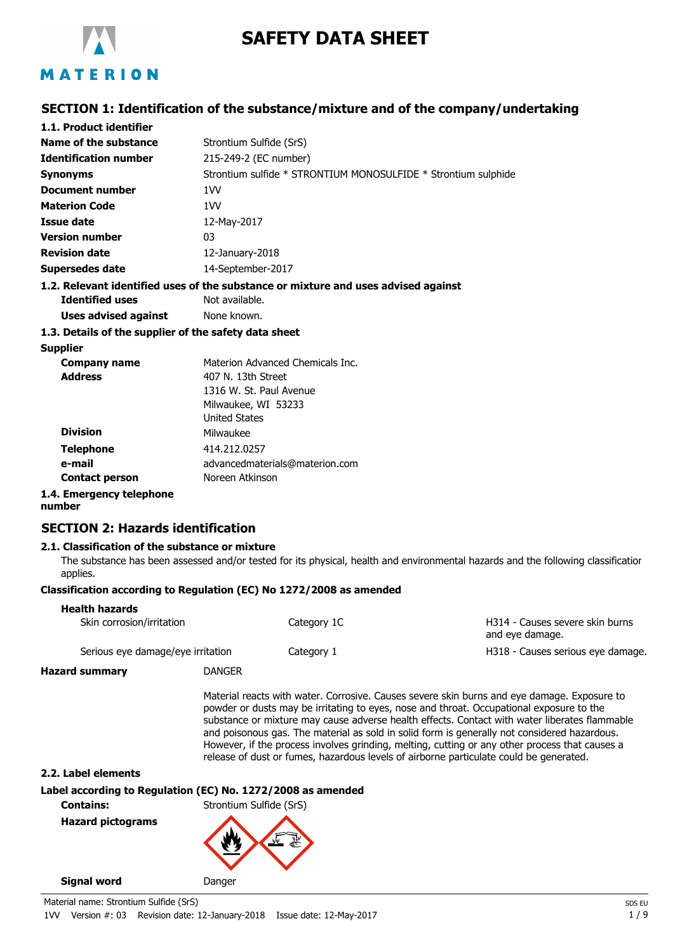

# **SAFETY DATA SHEET**

## **SECTION 1: Identification of the substance/mixture and of the company/undertaking**

| 1.1. Product identifier                               |                                                                                    |
|-------------------------------------------------------|------------------------------------------------------------------------------------|
| Name of the substance                                 | Strontium Sulfide (SrS)                                                            |
| <b>Identification number</b>                          | 215-249-2 (EC number)                                                              |
| <b>Synonyms</b>                                       | Strontium sulfide * STRONTIUM MONOSULFIDE * Strontium sulphide                     |
| Document number                                       | 1 <sub>V</sub>                                                                     |
| <b>Materion Code</b>                                  | 1W                                                                                 |
| Issue date                                            | 12-May-2017                                                                        |
| <b>Version number</b>                                 | 03                                                                                 |
| <b>Revision date</b>                                  | 12-January-2018                                                                    |
| Supersedes date                                       | 14-September-2017                                                                  |
|                                                       | 1.2. Relevant identified uses of the substance or mixture and uses advised against |
| <b>Identified uses</b>                                | Not available.                                                                     |
| Uses advised against                                  | None known.                                                                        |
| 1.3. Details of the supplier of the safety data sheet |                                                                                    |
| <b>Supplier</b>                                       |                                                                                    |
| <b>Company name</b>                                   | Materion Advanced Chemicals Inc.                                                   |
| <b>Address</b>                                        | 407 N. 13th Street                                                                 |
|                                                       | 1316 W. St. Paul Avenue                                                            |
|                                                       | Milwaukee, WI 53233                                                                |
|                                                       | <b>United States</b>                                                               |
| <b>Division</b>                                       | Milwaukee                                                                          |
| <b>Telephone</b>                                      | 414.212.0257                                                                       |
| e-mail                                                | advancedmaterials@materion.com                                                     |
| <b>Contact person</b>                                 | Noreen Atkinson                                                                    |
|                                                       |                                                                                    |

## **1.4. Emergency telephone**

**number**

## **SECTION 2: Hazards identification**

### **2.1. Classification of the substance or mixture**

The substance has been assessed and/or tested for its physical, health and environmental hazards and the following classification applies.

### **Classification according to Regulation (EC) No 1272/2008 as amended**

| <b>Health hazards</b>             |             |                                                    |
|-----------------------------------|-------------|----------------------------------------------------|
| Skin corrosion/irritation         | Category 1C | H314 - Causes severe skin burns<br>and eye damage. |
| Serious eye damage/eye irritation | Category 1  | H318 - Causes serious eye damage.                  |

**Hazard summary** DANGER

Material reacts with water. Corrosive. Causes severe skin burns and eye damage. Exposure to powder or dusts may be irritating to eyes, nose and throat. Occupational exposure to the substance or mixture may cause adverse health effects. Contact with water liberates flammable and poisonous gas. The material as sold in solid form is generally not considered hazardous. However, if the process involves grinding, melting, cutting or any other process that causes a release of dust or fumes, hazardous levels of airborne particulate could be generated.

**2.2. Label elements**

**Label according to Regulation (EC) No. 1272/2008 as amended**

**Contains:** Strontium Sulfide (SrS)

**Hazard pictograms**

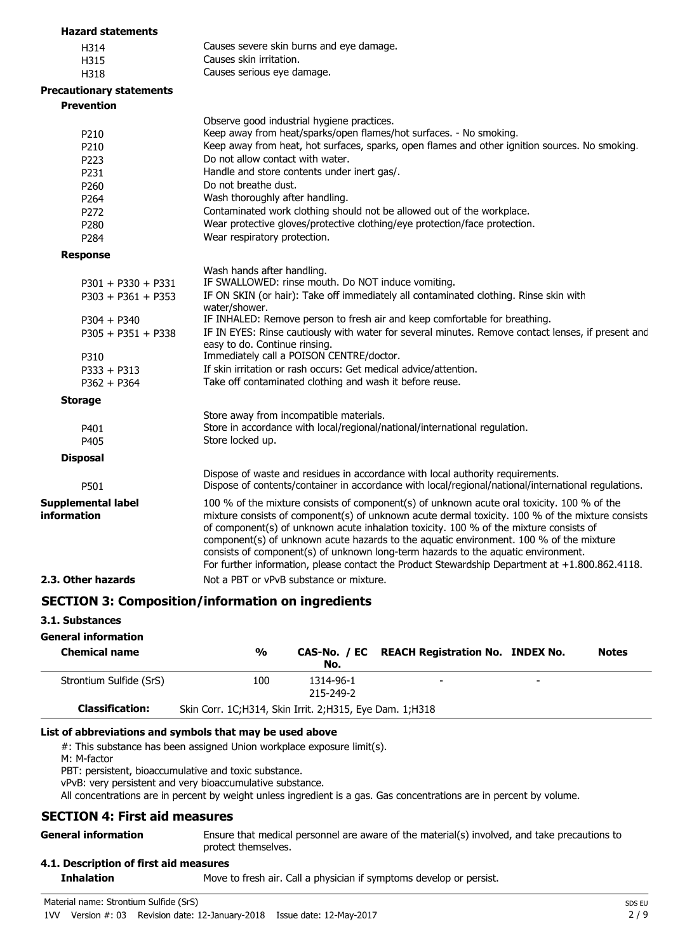| <b>Hazard statements</b>                 |                                                                                                                                                                                                                                                                                                                                                                                                                                                                                                                                                                           |
|------------------------------------------|---------------------------------------------------------------------------------------------------------------------------------------------------------------------------------------------------------------------------------------------------------------------------------------------------------------------------------------------------------------------------------------------------------------------------------------------------------------------------------------------------------------------------------------------------------------------------|
| H314                                     | Causes severe skin burns and eye damage.                                                                                                                                                                                                                                                                                                                                                                                                                                                                                                                                  |
| H315                                     | Causes skin irritation.                                                                                                                                                                                                                                                                                                                                                                                                                                                                                                                                                   |
| H318                                     | Causes serious eye damage.                                                                                                                                                                                                                                                                                                                                                                                                                                                                                                                                                |
| <b>Precautionary statements</b>          |                                                                                                                                                                                                                                                                                                                                                                                                                                                                                                                                                                           |
| <b>Prevention</b>                        |                                                                                                                                                                                                                                                                                                                                                                                                                                                                                                                                                                           |
|                                          | Observe good industrial hygiene practices.                                                                                                                                                                                                                                                                                                                                                                                                                                                                                                                                |
| P <sub>210</sub>                         | Keep away from heat/sparks/open flames/hot surfaces. - No smoking.                                                                                                                                                                                                                                                                                                                                                                                                                                                                                                        |
| P <sub>210</sub>                         | Keep away from heat, hot surfaces, sparks, open flames and other ignition sources. No smoking.                                                                                                                                                                                                                                                                                                                                                                                                                                                                            |
| P223                                     | Do not allow contact with water.                                                                                                                                                                                                                                                                                                                                                                                                                                                                                                                                          |
| P231                                     | Handle and store contents under inert gas/.                                                                                                                                                                                                                                                                                                                                                                                                                                                                                                                               |
| P260                                     | Do not breathe dust.                                                                                                                                                                                                                                                                                                                                                                                                                                                                                                                                                      |
| P264                                     | Wash thoroughly after handling.                                                                                                                                                                                                                                                                                                                                                                                                                                                                                                                                           |
| P <sub>272</sub>                         | Contaminated work clothing should not be allowed out of the workplace.                                                                                                                                                                                                                                                                                                                                                                                                                                                                                                    |
| P280                                     | Wear protective gloves/protective clothing/eye protection/face protection.                                                                                                                                                                                                                                                                                                                                                                                                                                                                                                |
| P <sub>284</sub>                         | Wear respiratory protection.                                                                                                                                                                                                                                                                                                                                                                                                                                                                                                                                              |
| <b>Response</b>                          |                                                                                                                                                                                                                                                                                                                                                                                                                                                                                                                                                                           |
|                                          | Wash hands after handling.                                                                                                                                                                                                                                                                                                                                                                                                                                                                                                                                                |
| $P301 + P330 + P331$                     | IF SWALLOWED: rinse mouth. Do NOT induce vomiting.                                                                                                                                                                                                                                                                                                                                                                                                                                                                                                                        |
| $P303 + P361 + P353$                     | IF ON SKIN (or hair): Take off immediately all contaminated clothing. Rinse skin with<br>water/shower.                                                                                                                                                                                                                                                                                                                                                                                                                                                                    |
| $P304 + P340$                            | IF INHALED: Remove person to fresh air and keep comfortable for breathing.                                                                                                                                                                                                                                                                                                                                                                                                                                                                                                |
| $P305 + P351 + P338$                     | IF IN EYES: Rinse cautiously with water for several minutes. Remove contact lenses, if present and<br>easy to do. Continue rinsing.                                                                                                                                                                                                                                                                                                                                                                                                                                       |
| P310                                     | Immediately call a POISON CENTRE/doctor.                                                                                                                                                                                                                                                                                                                                                                                                                                                                                                                                  |
| $P333 + P313$                            | If skin irritation or rash occurs: Get medical advice/attention.                                                                                                                                                                                                                                                                                                                                                                                                                                                                                                          |
| $P362 + P364$                            | Take off contaminated clothing and wash it before reuse.                                                                                                                                                                                                                                                                                                                                                                                                                                                                                                                  |
| <b>Storage</b>                           |                                                                                                                                                                                                                                                                                                                                                                                                                                                                                                                                                                           |
|                                          | Store away from incompatible materials.                                                                                                                                                                                                                                                                                                                                                                                                                                                                                                                                   |
| P401                                     | Store in accordance with local/regional/national/international regulation.                                                                                                                                                                                                                                                                                                                                                                                                                                                                                                |
| P405                                     | Store locked up.                                                                                                                                                                                                                                                                                                                                                                                                                                                                                                                                                          |
| <b>Disposal</b>                          |                                                                                                                                                                                                                                                                                                                                                                                                                                                                                                                                                                           |
| P501                                     | Dispose of waste and residues in accordance with local authority requirements.<br>Dispose of contents/container in accordance with local/regional/national/international regulations.                                                                                                                                                                                                                                                                                                                                                                                     |
| <b>Supplemental label</b><br>information | 100 % of the mixture consists of component(s) of unknown acute oral toxicity. 100 % of the<br>mixture consists of component(s) of unknown acute dermal toxicity. 100 % of the mixture consists<br>of component(s) of unknown acute inhalation toxicity. 100 % of the mixture consists of<br>component(s) of unknown acute hazards to the aquatic environment. 100 % of the mixture<br>consists of component(s) of unknown long-term hazards to the aquatic environment.<br>For further information, please contact the Product Stewardship Department at +1.800.862.4118. |
| 2.3. Other hazards                       | Not a PBT or vPvB substance or mixture.                                                                                                                                                                                                                                                                                                                                                                                                                                                                                                                                   |
|                                          | <b>SECTION 3: Composition/information on ingredients</b>                                                                                                                                                                                                                                                                                                                                                                                                                                                                                                                  |

**3.1. Substances**

#### **General information**

| <b>Chemical name</b>    | $\frac{0}{0}$                                              | No.                    | CAS-No. / EC REACH Registration No. INDEX No. |   | <b>Notes</b> |
|-------------------------|------------------------------------------------------------|------------------------|-----------------------------------------------|---|--------------|
| Strontium Sulfide (SrS) | 100                                                        | 1314-96-1<br>215-249-2 | $\overline{\phantom{0}}$                      | - |              |
| <b>Classification:</b>  | Skin Corr. 1C; H314, Skin Irrit. 2; H315, Eye Dam. 1; H318 |                        |                                               |   |              |

#### **List of abbreviations and symbols that may be used above**

#: This substance has been assigned Union workplace exposure limit(s).

M: M-factor

PBT: persistent, bioaccumulative and toxic substance.

vPvB: very persistent and very bioaccumulative substance.

All concentrations are in percent by weight unless ingredient is a gas. Gas concentrations are in percent by volume.

### **SECTION 4: First aid measures**

**General information**

Ensure that medical personnel are aware of the material(s) involved, and take precautions to protect themselves.

## **4.1. Description of first aid measures**

**Inhalation** Move to fresh air. Call a physician if symptoms develop or persist.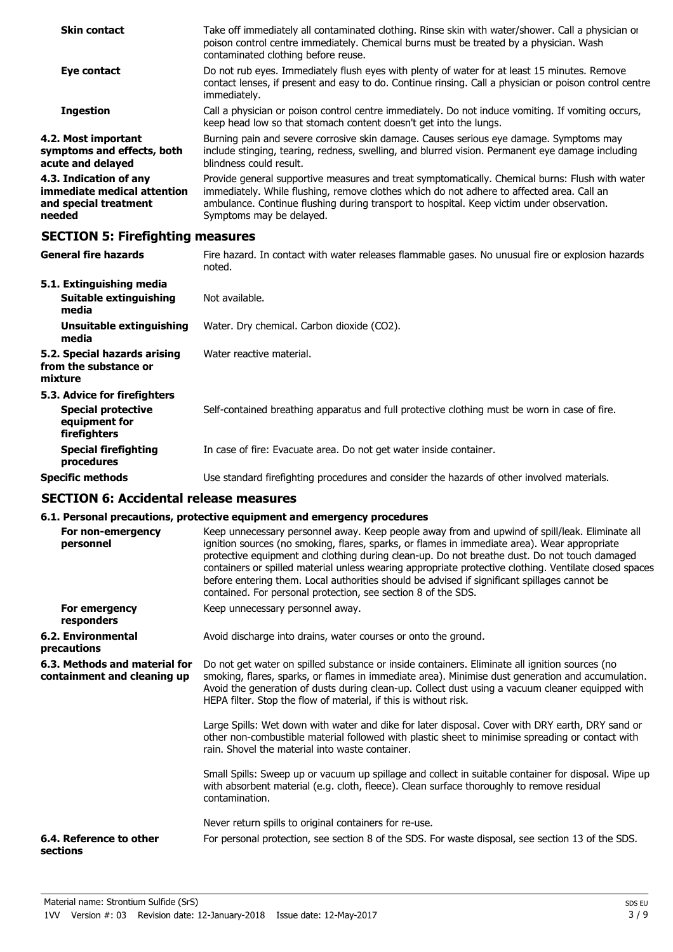| <b>Skin contact</b>                                                                      | Take off immediately all contaminated clothing. Rinse skin with water/shower. Call a physician or<br>poison control centre immediately. Chemical burns must be treated by a physician. Wash<br>contaminated clothing before reuse.                                                                                    |  |
|------------------------------------------------------------------------------------------|-----------------------------------------------------------------------------------------------------------------------------------------------------------------------------------------------------------------------------------------------------------------------------------------------------------------------|--|
| Eye contact                                                                              | Do not rub eyes. Immediately flush eyes with plenty of water for at least 15 minutes. Remove<br>contact lenses, if present and easy to do. Continue rinsing. Call a physician or poison control centre<br>immediately.                                                                                                |  |
| <b>Ingestion</b>                                                                         | Call a physician or poison control centre immediately. Do not induce vomiting. If vomiting occurs,<br>keep head low so that stomach content doesn't get into the lungs.                                                                                                                                               |  |
| 4.2. Most important<br>symptoms and effects, both<br>acute and delayed                   | Burning pain and severe corrosive skin damage. Causes serious eye damage. Symptoms may<br>include stinging, tearing, redness, swelling, and blurred vision. Permanent eye damage including<br>blindness could result.                                                                                                 |  |
| 4.3. Indication of any<br>immediate medical attention<br>and special treatment<br>needed | Provide general supportive measures and treat symptomatically. Chemical burns: Flush with water<br>immediately. While flushing, remove clothes which do not adhere to affected area. Call an<br>ambulance. Continue flushing during transport to hospital. Keep victim under observation.<br>Symptoms may be delayed. |  |
| <b>SECTION 5: Firefighting measures</b>                                                  |                                                                                                                                                                                                                                                                                                                       |  |

| <b>General fire hazards</b>                                                                | Fire hazard. In contact with water releases flammable gases. No unusual fire or explosion hazards<br>noted. |
|--------------------------------------------------------------------------------------------|-------------------------------------------------------------------------------------------------------------|
| 5.1. Extinguishing media<br>Suitable extinguishing<br>media                                | Not available.                                                                                              |
| Unsuitable extinguishing<br>media                                                          | Water. Dry chemical. Carbon dioxide (CO2).                                                                  |
| 5.2. Special hazards arising<br>from the substance or<br>mixture                           | Water reactive material.                                                                                    |
| 5.3. Advice for firefighters<br><b>Special protective</b><br>equipment for<br>firefighters | Self-contained breathing apparatus and full protective clothing must be worn in case of fire.               |
| <b>Special firefighting</b><br>procedures                                                  | In case of fire: Evacuate area. Do not get water inside container.                                          |
| <b>Specific methods</b>                                                                    | Use standard firefighting procedures and consider the hazards of other involved materials.                  |

### **SECTION 6: Accidental release measures**

## **6.1. Personal precautions, protective equipment and emergency procedures**

|                                                              | v.1. Fersonar precautions, protective equipment and emergency procedures                                                                                                                                                                                                                                                                                                                                                                                                                                                                                                  |
|--------------------------------------------------------------|---------------------------------------------------------------------------------------------------------------------------------------------------------------------------------------------------------------------------------------------------------------------------------------------------------------------------------------------------------------------------------------------------------------------------------------------------------------------------------------------------------------------------------------------------------------------------|
| For non-emergency<br>personnel                               | Keep unnecessary personnel away. Keep people away from and upwind of spill/leak. Eliminate all<br>ignition sources (no smoking, flares, sparks, or flames in immediate area). Wear appropriate<br>protective equipment and clothing during clean-up. Do not breathe dust. Do not touch damaged<br>containers or spilled material unless wearing appropriate protective clothing. Ventilate closed spaces<br>before entering them. Local authorities should be advised if significant spillages cannot be<br>contained. For personal protection, see section 8 of the SDS. |
| For emergency<br>responders                                  | Keep unnecessary personnel away.                                                                                                                                                                                                                                                                                                                                                                                                                                                                                                                                          |
| 6.2. Environmental<br>precautions                            | Avoid discharge into drains, water courses or onto the ground.                                                                                                                                                                                                                                                                                                                                                                                                                                                                                                            |
| 6.3. Methods and material for<br>containment and cleaning up | Do not get water on spilled substance or inside containers. Eliminate all ignition sources (no<br>smoking, flares, sparks, or flames in immediate area). Minimise dust generation and accumulation.<br>Avoid the generation of dusts during clean-up. Collect dust using a vacuum cleaner equipped with<br>HEPA filter. Stop the flow of material, if this is without risk.                                                                                                                                                                                               |
|                                                              | Large Spills: Wet down with water and dike for later disposal. Cover with DRY earth, DRY sand or<br>other non-combustible material followed with plastic sheet to minimise spreading or contact with<br>rain. Shovel the material into waste container.                                                                                                                                                                                                                                                                                                                   |
|                                                              | Small Spills: Sweep up or vacuum up spillage and collect in suitable container for disposal. Wipe up<br>with absorbent material (e.g. cloth, fleece). Clean surface thoroughly to remove residual<br>contamination.                                                                                                                                                                                                                                                                                                                                                       |
|                                                              | Never return spills to original containers for re-use.                                                                                                                                                                                                                                                                                                                                                                                                                                                                                                                    |
| 6.4. Reference to other<br>sections                          | For personal protection, see section 8 of the SDS. For waste disposal, see section 13 of the SDS.                                                                                                                                                                                                                                                                                                                                                                                                                                                                         |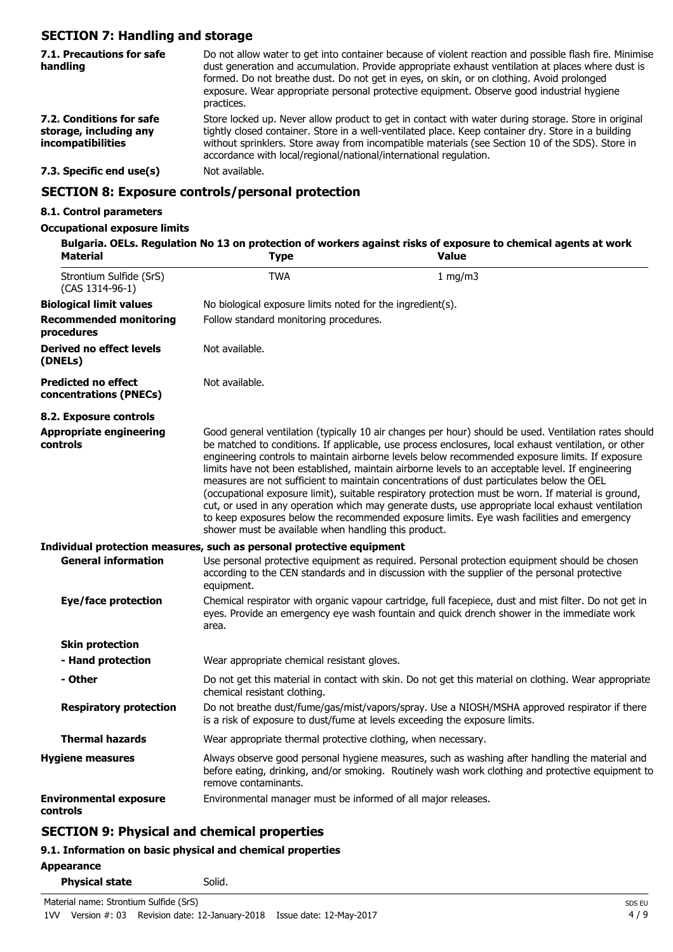## **SECTION 7: Handling and storage**

| 7.1. Precautions for safe<br>handling                                          | Do not allow water to get into container because of violent reaction and possible flash fire. Minimise<br>dust generation and accumulation. Provide appropriate exhaust ventilation at places where dust is<br>formed. Do not breathe dust. Do not get in eyes, on skin, or on clothing. Avoid prolonged<br>exposure. Wear appropriate personal protective equipment. Observe good industrial hygiene<br>practices. |  |
|--------------------------------------------------------------------------------|---------------------------------------------------------------------------------------------------------------------------------------------------------------------------------------------------------------------------------------------------------------------------------------------------------------------------------------------------------------------------------------------------------------------|--|
| 7.2. Conditions for safe<br>storage, including any<br><i>incompatibilities</i> | Store locked up. Never allow product to get in contact with water during storage. Store in original<br>tightly closed container. Store in a well-ventilated place. Keep container dry. Store in a building<br>without sprinklers. Store away from incompatible materials (see Section 10 of the SDS). Store in<br>accordance with local/regional/national/international regulation.                                 |  |
| 7.3. Specific end use(s)                                                       | Not available.                                                                                                                                                                                                                                                                                                                                                                                                      |  |
| <b>SECTION 8: Exposure controls/personal protection</b>                        |                                                                                                                                                                                                                                                                                                                                                                                                                     |  |

### **8.1. Control parameters**

### **Occupational exposure limits**

| <b>Material</b>                                      | <b>Type</b>                                                           | Bulgaria. OELs. Regulation No 13 on protection of workers against risks of exposure to chemical agents at work<br><b>Value</b>                                                                                                                                                                                                                                                                                                                                                                                                                                                                                                                                                                                                                                                                                               |
|------------------------------------------------------|-----------------------------------------------------------------------|------------------------------------------------------------------------------------------------------------------------------------------------------------------------------------------------------------------------------------------------------------------------------------------------------------------------------------------------------------------------------------------------------------------------------------------------------------------------------------------------------------------------------------------------------------------------------------------------------------------------------------------------------------------------------------------------------------------------------------------------------------------------------------------------------------------------------|
| Strontium Sulfide (SrS)<br>(CAS 1314-96-1)           | <b>TWA</b>                                                            | $1$ mg/m $3$                                                                                                                                                                                                                                                                                                                                                                                                                                                                                                                                                                                                                                                                                                                                                                                                                 |
| <b>Biological limit values</b>                       | No biological exposure limits noted for the ingredient(s).            |                                                                                                                                                                                                                                                                                                                                                                                                                                                                                                                                                                                                                                                                                                                                                                                                                              |
| <b>Recommended monitoring</b><br>procedures          | Follow standard monitoring procedures.                                |                                                                                                                                                                                                                                                                                                                                                                                                                                                                                                                                                                                                                                                                                                                                                                                                                              |
| Derived no effect levels<br>(DNELs)                  | Not available.                                                        |                                                                                                                                                                                                                                                                                                                                                                                                                                                                                                                                                                                                                                                                                                                                                                                                                              |
| <b>Predicted no effect</b><br>concentrations (PNECs) | Not available.                                                        |                                                                                                                                                                                                                                                                                                                                                                                                                                                                                                                                                                                                                                                                                                                                                                                                                              |
| 8.2. Exposure controls                               |                                                                       |                                                                                                                                                                                                                                                                                                                                                                                                                                                                                                                                                                                                                                                                                                                                                                                                                              |
| <b>Appropriate engineering</b><br>controls           | shower must be available when handling this product.                  | Good general ventilation (typically 10 air changes per hour) should be used. Ventilation rates should<br>be matched to conditions. If applicable, use process enclosures, local exhaust ventilation, or other<br>engineering controls to maintain airborne levels below recommended exposure limits. If exposure<br>limits have not been established, maintain airborne levels to an acceptable level. If engineering<br>measures are not sufficient to maintain concentrations of dust particulates below the OEL<br>(occupational exposure limit), suitable respiratory protection must be worn. If material is ground,<br>cut, or used in any operation which may generate dusts, use appropriate local exhaust ventilation<br>to keep exposures below the recommended exposure limits. Eye wash facilities and emergency |
|                                                      | Individual protection measures, such as personal protective equipment |                                                                                                                                                                                                                                                                                                                                                                                                                                                                                                                                                                                                                                                                                                                                                                                                                              |
| <b>General information</b>                           | equipment.                                                            | Use personal protective equipment as required. Personal protection equipment should be chosen<br>according to the CEN standards and in discussion with the supplier of the personal protective                                                                                                                                                                                                                                                                                                                                                                                                                                                                                                                                                                                                                               |
| <b>Eye/face protection</b>                           | area.                                                                 | Chemical respirator with organic vapour cartridge, full facepiece, dust and mist filter. Do not get in<br>eyes. Provide an emergency eye wash fountain and quick drench shower in the immediate work                                                                                                                                                                                                                                                                                                                                                                                                                                                                                                                                                                                                                         |
| <b>Skin protection</b>                               |                                                                       |                                                                                                                                                                                                                                                                                                                                                                                                                                                                                                                                                                                                                                                                                                                                                                                                                              |
| - Hand protection                                    | Wear appropriate chemical resistant gloves.                           |                                                                                                                                                                                                                                                                                                                                                                                                                                                                                                                                                                                                                                                                                                                                                                                                                              |
| - Other                                              | chemical resistant clothing.                                          | Do not get this material in contact with skin. Do not get this material on clothing. Wear appropriate                                                                                                                                                                                                                                                                                                                                                                                                                                                                                                                                                                                                                                                                                                                        |
| <b>Respiratory protection</b>                        |                                                                       | Do not breathe dust/fume/gas/mist/vapors/spray. Use a NIOSH/MSHA approved respirator if there<br>is a risk of exposure to dust/fume at levels exceeding the exposure limits.                                                                                                                                                                                                                                                                                                                                                                                                                                                                                                                                                                                                                                                 |
| <b>Thermal hazards</b>                               | Wear appropriate thermal protective clothing, when necessary.         |                                                                                                                                                                                                                                                                                                                                                                                                                                                                                                                                                                                                                                                                                                                                                                                                                              |
| <b>Hygiene measures</b>                              | remove contaminants.                                                  | Always observe good personal hygiene measures, such as washing after handling the material and<br>before eating, drinking, and/or smoking. Routinely wash work clothing and protective equipment to                                                                                                                                                                                                                                                                                                                                                                                                                                                                                                                                                                                                                          |
| <b>Environmental exposure</b><br>controls            | Environmental manager must be informed of all major releases.         |                                                                                                                                                                                                                                                                                                                                                                                                                                                                                                                                                                                                                                                                                                                                                                                                                              |

## **SECTION 9: Physical and chemical properties**

## **9.1. Information on basic physical and chemical properties**

### **Appearance**

| <b>Physical state</b> |
|-----------------------|
|-----------------------|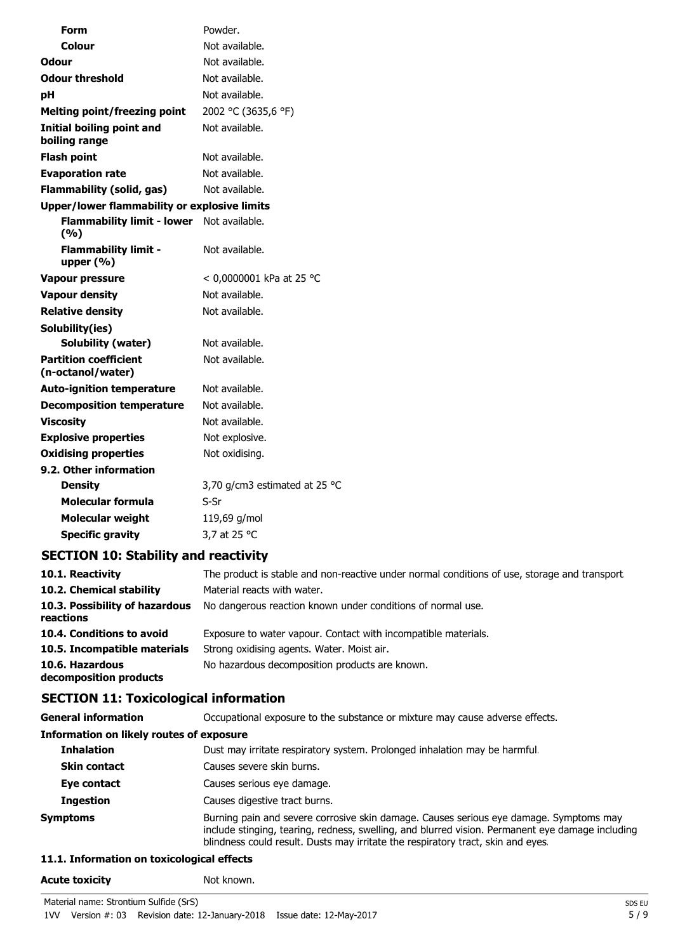| <b>Form</b>                                       | Powder.                       |
|---------------------------------------------------|-------------------------------|
| <b>Colour</b>                                     | Not available.                |
| <b>Odour</b>                                      | Not available.                |
| <b>Odour threshold</b>                            | Not available.                |
| pH                                                | Not available.                |
| <b>Melting point/freezing point</b>               | 2002 °C (3635,6 °F)           |
| <b>Initial boiling point and</b><br>boiling range | Not available.                |
| <b>Flash point</b>                                | Not available.                |
| <b>Evaporation rate</b>                           | Not available.                |
| <b>Flammability (solid, gas)</b>                  | Not available.                |
| Upper/lower flammability or explosive limits      |                               |
| <b>Flammability limit - lower</b><br>(9/6)        | Not available.                |
| <b>Flammability limit -</b><br>upper $(% )$       | Not available.                |
| <b>Vapour pressure</b>                            | < 0,0000001 kPa at 25 °C      |
| <b>Vapour density</b>                             | Not available.                |
| <b>Relative density</b>                           | Not available.                |
| Solubility(ies)                                   |                               |
| Solubility (water)                                | Not available.                |
| <b>Partition coefficient</b><br>(n-octanol/water) | Not available.                |
| <b>Auto-ignition temperature</b>                  | Not available.                |
| <b>Decomposition temperature</b>                  | Not available.                |
| <b>Viscosity</b>                                  | Not available.                |
| <b>Explosive properties</b>                       | Not explosive.                |
| <b>Oxidising properties</b>                       | Not oxidising.                |
| 9.2. Other information                            |                               |
| <b>Density</b>                                    | 3,70 g/cm3 estimated at 25 °C |
| <b>Molecular formula</b>                          | S-Sr                          |
| <b>Molecular weight</b>                           | 119,69 g/mol                  |
| <b>Specific gravity</b>                           | 3,7 at 25 °C                  |
|                                                   |                               |

## **SECTION 10: Stability and reactivity**

| 10.1. Reactivity                            | The product is stable and non-reactive under normal conditions of use, storage and transport. |
|---------------------------------------------|-----------------------------------------------------------------------------------------------|
| 10.2. Chemical stability                    | Material reacts with water.                                                                   |
| 10.3. Possibility of hazardous<br>reactions | No dangerous reaction known under conditions of normal use.                                   |
| 10.4. Conditions to avoid                   | Exposure to water vapour. Contact with incompatible materials.                                |
| 10.5. Incompatible materials                | Strong oxidising agents. Water. Moist air.                                                    |
| 10.6. Hazardous<br>decomposition products   | No hazardous decomposition products are known.                                                |

## **SECTION 11: Toxicological information**

| <b>General information</b>                      | Occupational exposure to the substance or mixture may cause adverse effects.                                                                                                                                                                                                   |  |
|-------------------------------------------------|--------------------------------------------------------------------------------------------------------------------------------------------------------------------------------------------------------------------------------------------------------------------------------|--|
| <b>Information on likely routes of exposure</b> |                                                                                                                                                                                                                                                                                |  |
| <b>Inhalation</b>                               | Dust may irritate respiratory system. Prolonged inhalation may be harmful.                                                                                                                                                                                                     |  |
| <b>Skin contact</b>                             | Causes severe skin burns.                                                                                                                                                                                                                                                      |  |
| Eye contact                                     | Causes serious eye damage.                                                                                                                                                                                                                                                     |  |
| <b>Ingestion</b>                                | Causes digestive tract burns.                                                                                                                                                                                                                                                  |  |
| <b>Symptoms</b>                                 | Burning pain and severe corrosive skin damage. Causes serious eye damage. Symptoms may<br>include stinging, tearing, redness, swelling, and blurred vision. Permanent eye damage including<br>blindness could result. Dusts may irritate the respiratory tract, skin and eyes. |  |

## **11.1. Information on toxicological effects**

### Acute toxicity **Not known.**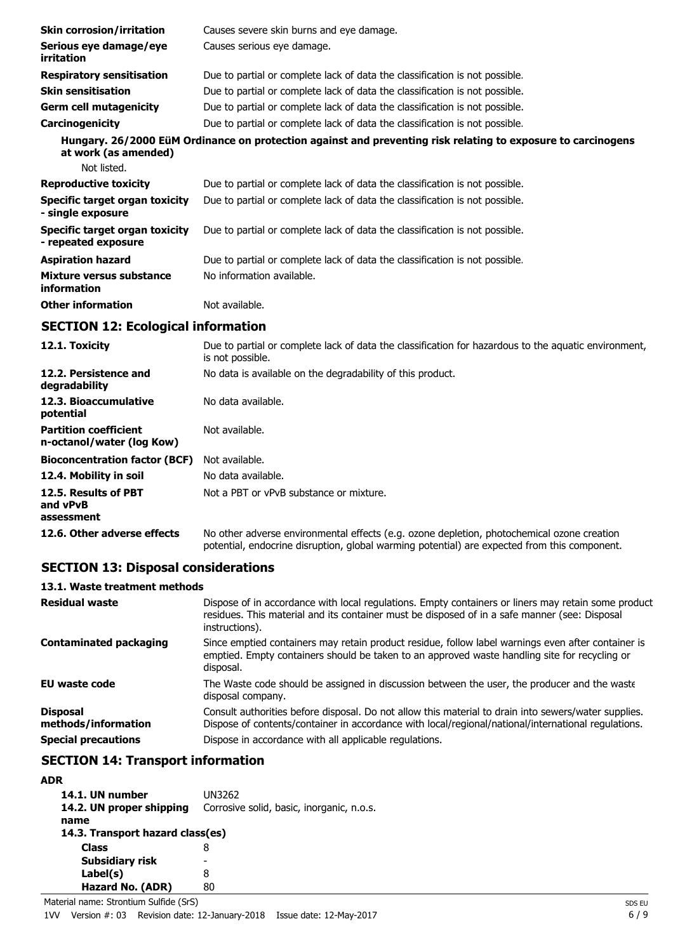| <b>Skin corrosion/irritation</b>                             | Causes severe skin burns and eye damage.                                                                                 |
|--------------------------------------------------------------|--------------------------------------------------------------------------------------------------------------------------|
| Serious eye damage/eye<br>irritation                         | Causes serious eye damage.                                                                                               |
| <b>Respiratory sensitisation</b>                             | Due to partial or complete lack of data the classification is not possible.                                              |
| <b>Skin sensitisation</b>                                    | Due to partial or complete lack of data the classification is not possible.                                              |
| <b>Germ cell mutagenicity</b>                                | Due to partial or complete lack of data the classification is not possible.                                              |
| Carcinogenicity                                              | Due to partial or complete lack of data the classification is not possible.                                              |
| at work (as amended)                                         | Hungary. 26/2000 EüM Ordinance on protection against and preventing risk relating to exposure to carcinogens             |
| Not listed.                                                  |                                                                                                                          |
| <b>Reproductive toxicity</b>                                 | Due to partial or complete lack of data the classification is not possible.                                              |
| <b>Specific target organ toxicity</b><br>- single exposure   | Due to partial or complete lack of data the classification is not possible.                                              |
| <b>Specific target organ toxicity</b><br>- repeated exposure | Due to partial or complete lack of data the classification is not possible.                                              |
| <b>Aspiration hazard</b>                                     | Due to partial or complete lack of data the classification is not possible.                                              |
| Mixture versus substance<br>information                      | No information available.                                                                                                |
| <b>Other information</b>                                     | Not available.                                                                                                           |
| <b>SECTION 12: Ecological information</b>                    |                                                                                                                          |
| 12.1. Toxicity                                               | Due to partial or complete lack of data the classification for hazardous to the aquatic environment,<br>is not possible. |
| 12.2. Persistence and<br>degradability                       | No data is available on the degradability of this product.                                                               |
| 12.3. Bioaccumulative<br>potential                           | No data available.                                                                                                       |
| <b>Partition coefficient</b><br>n-octanol/water (log Kow)    | Not available.                                                                                                           |
| <b>Bioconcentration factor (BCF)</b>                         | Not available.                                                                                                           |
| 12.4. Mobility in soil                                       | No data available.                                                                                                       |
| 12.5. Results of PBT<br>and vPvB<br>assessment               | Not a PBT or vPvB substance or mixture.                                                                                  |

**12.6. Other adverse effects** No other adverse environmental effects (e.g. ozone depletion, photochemical ozone creation potential, endocrine disruption, global warming potential) are expected from this component.

## **SECTION 13: Disposal considerations**

# **13.1. Waste treatment methods**

| <b>Residual waste</b>                  | Dispose of in accordance with local regulations. Empty containers or liners may retain some product<br>residues. This material and its container must be disposed of in a safe manner (see: Disposal<br>instructions). |
|----------------------------------------|------------------------------------------------------------------------------------------------------------------------------------------------------------------------------------------------------------------------|
| <b>Contaminated packaging</b>          | Since emptied containers may retain product residue, follow label warnings even after container is<br>emptied. Empty containers should be taken to an approved waste handling site for recycling or<br>disposal.       |
| <b>EU waste code</b>                   | The Waste code should be assigned in discussion between the user, the producer and the waste<br>disposal company.                                                                                                      |
| <b>Disposal</b><br>methods/information | Consult authorities before disposal. Do not allow this material to drain into sewers/water supplies.<br>Dispose of contents/container in accordance with local/regional/national/international regulations.            |
| <b>Special precautions</b>             | Dispose in accordance with all applicable regulations.                                                                                                                                                                 |

## **SECTION 14: Transport information**

### **ADR**

| 14.1. UN number<br>14.2. UN proper shipping<br>name | UN3262<br>Corrosive solid, basic, inorganic, n.o.s. |  |  |  |
|-----------------------------------------------------|-----------------------------------------------------|--|--|--|
| 14.3. Transport hazard class(es)                    |                                                     |  |  |  |
| <b>Class</b>                                        | 8                                                   |  |  |  |
| Subsidiary risk                                     |                                                     |  |  |  |
| Label(s)                                            | 8                                                   |  |  |  |
| Hazard No. (ADR)                                    | 80                                                  |  |  |  |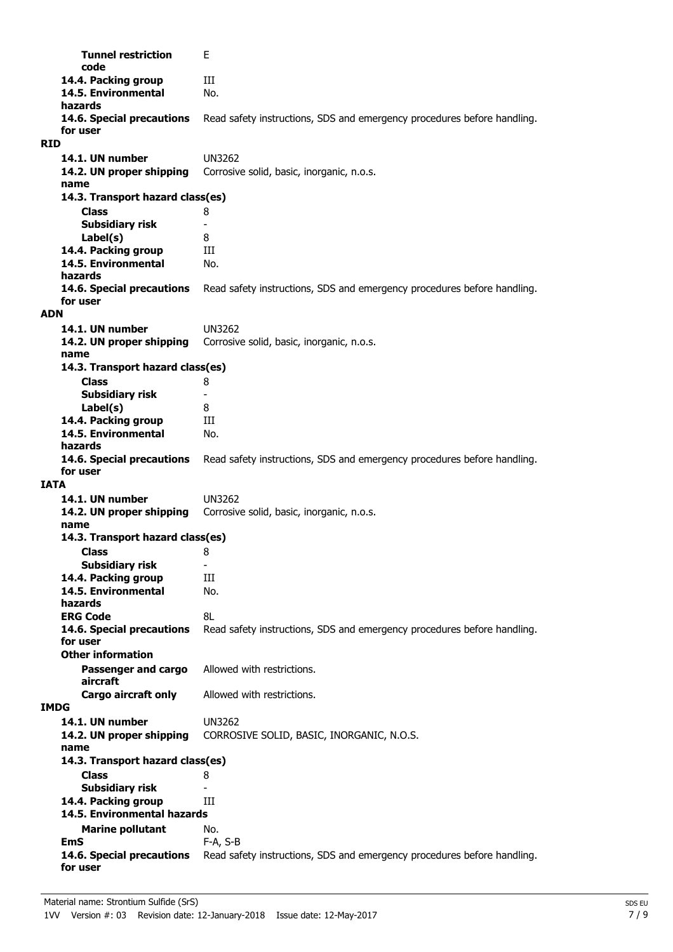| <b>Tunnel restriction</b><br>code             | Е                                                                       |
|-----------------------------------------------|-------------------------------------------------------------------------|
| 14.4. Packing group                           | Ш                                                                       |
| 14.5. Environmental                           | No.                                                                     |
| hazards                                       |                                                                         |
| 14.6. Special precautions                     | Read safety instructions, SDS and emergency procedures before handling. |
| for user                                      |                                                                         |
| <b>RID</b>                                    |                                                                         |
| 14.1. UN number                               | UN3262                                                                  |
| 14.2. UN proper shipping<br>name              | Corrosive solid, basic, inorganic, n.o.s.                               |
| 14.3. Transport hazard class(es)              |                                                                         |
| <b>Class</b>                                  | 8                                                                       |
| <b>Subsidiary risk</b>                        |                                                                         |
| Label(s)                                      | 8                                                                       |
| 14.4. Packing group                           | Ш                                                                       |
| 14.5. Environmental                           | No.                                                                     |
| hazards                                       |                                                                         |
| 14.6. Special precautions                     | Read safety instructions, SDS and emergency procedures before handling. |
| for user<br><b>ADN</b>                        |                                                                         |
| 14.1. UN number                               | UN3262                                                                  |
| 14.2. UN proper shipping                      | Corrosive solid, basic, inorganic, n.o.s.                               |
| name                                          |                                                                         |
| 14.3. Transport hazard class(es)              |                                                                         |
| <b>Class</b>                                  | 8                                                                       |
| <b>Subsidiary risk</b>                        |                                                                         |
| Label(s)                                      | 8                                                                       |
| 14.4. Packing group                           | Ш                                                                       |
| 14.5. Environmental<br>hazards                | No.                                                                     |
| 14.6. Special precautions                     | Read safety instructions, SDS and emergency procedures before handling. |
| for user                                      |                                                                         |
| <b>IATA</b>                                   |                                                                         |
| 14.1. UN number                               | UN3262                                                                  |
| 14.2. UN proper shipping                      | Corrosive solid, basic, inorganic, n.o.s.                               |
| name                                          |                                                                         |
| 14.3. Transport hazard class(es)              |                                                                         |
| Class                                         | 8<br>$\overline{\phantom{0}}$                                           |
| <b>Subsidiary risk</b><br>14.4. Packing group | Ш                                                                       |
| 14.5. Environmental                           | No.                                                                     |
| hazards                                       |                                                                         |
| <b>ERG Code</b>                               | 8L                                                                      |
| 14.6. Special precautions                     | Read safety instructions, SDS and emergency procedures before handling. |
| for user<br><b>Other information</b>          |                                                                         |
|                                               |                                                                         |
| Passenger and cargo<br>aircraft               | Allowed with restrictions.                                              |
| <b>Cargo aircraft only</b>                    | Allowed with restrictions.                                              |
| <b>IMDG</b>                                   |                                                                         |
| 14.1. UN number                               | <b>UN3262</b>                                                           |
| 14.2. UN proper shipping                      | CORROSIVE SOLID, BASIC, INORGANIC, N.O.S.                               |
| name                                          |                                                                         |
| 14.3. Transport hazard class(es)              |                                                                         |
| <b>Class</b><br><b>Subsidiary risk</b>        | 8                                                                       |
| 14.4. Packing group                           | Ш                                                                       |
| 14.5. Environmental hazards                   |                                                                         |
| <b>Marine pollutant</b>                       | No.                                                                     |
| <b>EmS</b>                                    | F-A, S-B                                                                |
| 14.6. Special precautions                     | Read safety instructions, SDS and emergency procedures before handling. |
| for user                                      |                                                                         |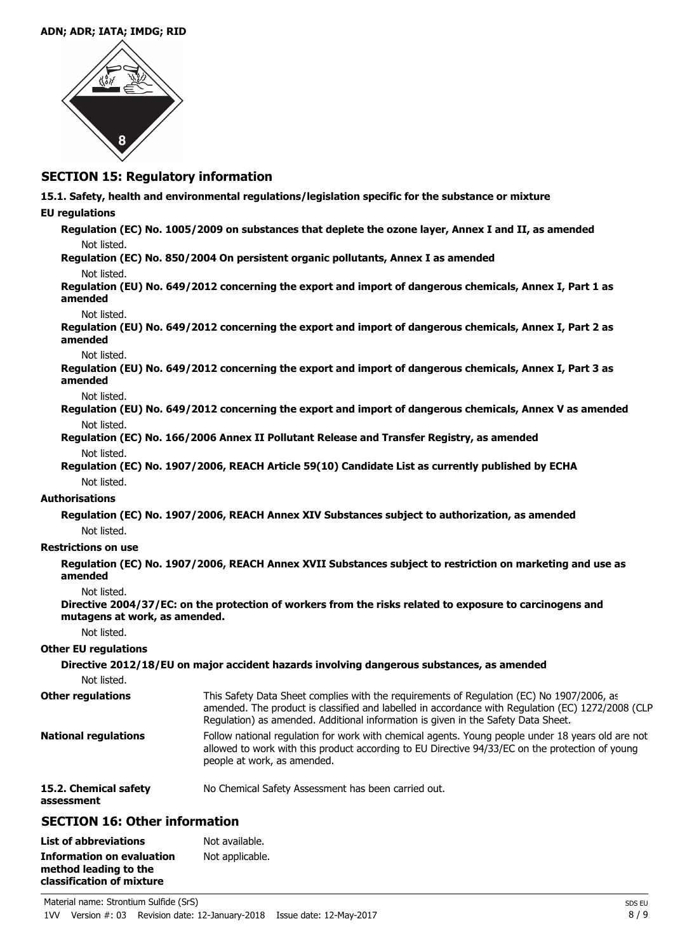#### **ADN; ADR; IATA; IMDG; RID**



### **SECTION 15: Regulatory information**

**15.1. Safety, health and environmental regulations/legislation specific for the substance or mixture**

### **EU regulations**

**Regulation (EC) No. 1005/2009 on substances that deplete the ozone layer, Annex I and II, as amended** Not listed.

**Regulation (EC) No. 850/2004 On persistent organic pollutants, Annex I as amended**

Not listed.

**Regulation (EU) No. 649/2012 concerning the export and import of dangerous chemicals, Annex I, Part 1 as amended**

#### Not listed.

**Regulation (EU) No. 649/2012 concerning the export and import of dangerous chemicals, Annex I, Part 2 as amended**

#### Not listed.

**Regulation (EU) No. 649/2012 concerning the export and import of dangerous chemicals, Annex I, Part 3 as amended**

Not listed.

**Regulation (EU) No. 649/2012 concerning the export and import of dangerous chemicals, Annex V as amended** Not listed.

- **Regulation (EC) No. 166/2006 Annex II Pollutant Release and Transfer Registry, as amended** Not listed.
- **Regulation (EC) No. 1907/2006, REACH Article 59(10) Candidate List as currently published by ECHA** Not listed.

### **Authorisations**

**Regulation (EC) No. 1907/2006, REACH Annex XIV Substances subject to authorization, as amended** Not listed.

### **Restrictions on use**

**Regulation (EC) No. 1907/2006, REACH Annex XVII Substances subject to restriction on marketing and use as amended**

### Not listed.

**Directive 2004/37/EC: on the protection of workers from the risks related to exposure to carcinogens and mutagens at work, as amended.**

Not listed.

### **Other EU regulations**

| Not listed.                         | Directive 2012/18/EU on major accident hazards involving dangerous substances, as amended                                                                                                                                                                                           |
|-------------------------------------|-------------------------------------------------------------------------------------------------------------------------------------------------------------------------------------------------------------------------------------------------------------------------------------|
| <b>Other regulations</b>            | This Safety Data Sheet complies with the requirements of Regulation (EC) No 1907/2006, as<br>amended. The product is classified and labelled in accordance with Regulation (EC) 1272/2008 (CLP<br>Regulation) as amended. Additional information is given in the Safety Data Sheet. |
| <b>National regulations</b>         | Follow national regulation for work with chemical agents. Young people under 18 years old are not<br>allowed to work with this product according to EU Directive 94/33/EC on the protection of young<br>people at work, as amended.                                                 |
| 15.2. Chemical safety<br>assessment | No Chemical Safety Assessment has been carried out.                                                                                                                                                                                                                                 |

## **SECTION 16: Other information**

| <b>List of abbreviations</b>                                                           | Not available.  |
|----------------------------------------------------------------------------------------|-----------------|
| <b>Information on evaluation</b><br>method leading to the<br>classification of mixture | Not applicable. |